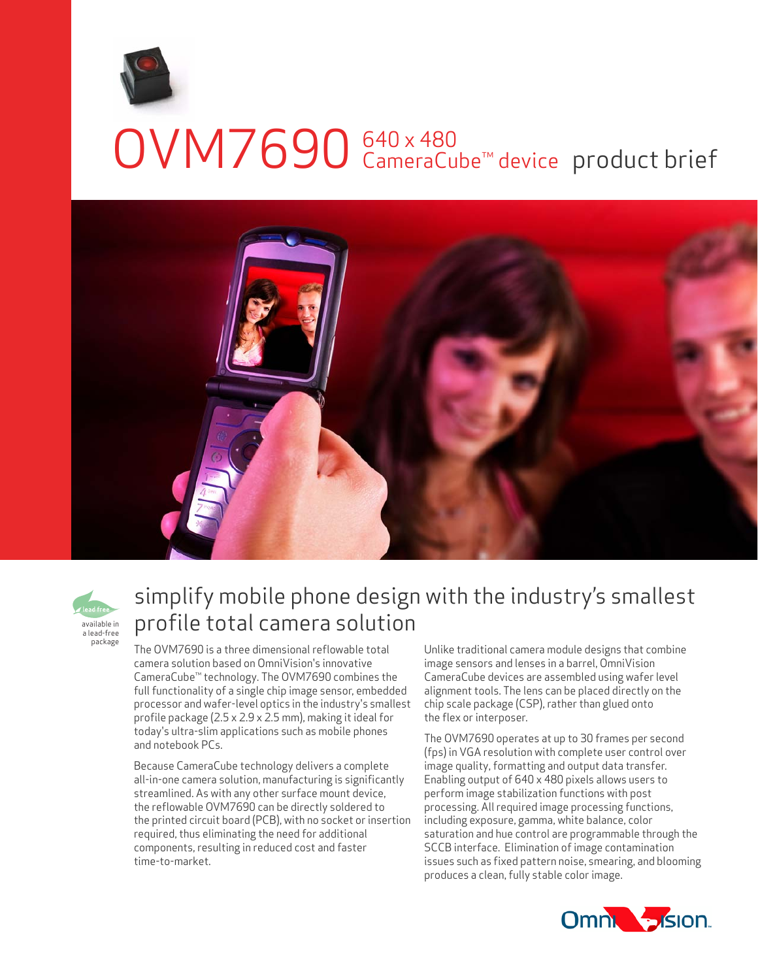

## OVM7690 <sup>640 × 480</sup> CameraCube<sup>™</sup> device product brief 640 x 480 CameraCube™ device





## simplify mobile phone design with the industry's smallest profile total camera solution

The OVM7690 is a three dimensional reflowable total camera solution based on OmniVision's innovative CameraCube™ technology. The OVM7690 combines the full functionality of a single chip image sensor, embedded processor and wafer-level optics in the industry's smallest profile package (2.5 x 2.9 x 2.5 mm), making it ideal for today's ultra-slim applications such as mobile phones and notebook PCs.

Because CameraCube technology delivers a complete all-in-one camera solution, manufacturing is significantly streamlined. As with any other surface mount device, the reflowable OVM7690 can be directly soldered to the printed circuit board (PCB), with no socket or insertion required, thus eliminating the need for additional components, resulting in reduced cost and faster time-to-market.

Unlike traditional camera module designs that combine image sensors and lenses in a barrel, OmniVision CameraCube devices are assembled using wafer level alignment tools. The lens can be placed directly on the chip scale package (CSP), rather than glued onto the flex or interposer.

The OVM7690 operates at up to 30 frames per second (fps) in VGA resolution with complete user control over image quality, formatting and output data transfer. Enabling output of 640 x 480 pixels allows users to perform image stabilization functions with post processing. All required image processing functions, including exposure, gamma, white balance, color saturation and hue control are programmable through the SCCB interface. Elimination of image contamination issues such as fixed pattern noise, smearing, and blooming produces a clean, fully stable color image.